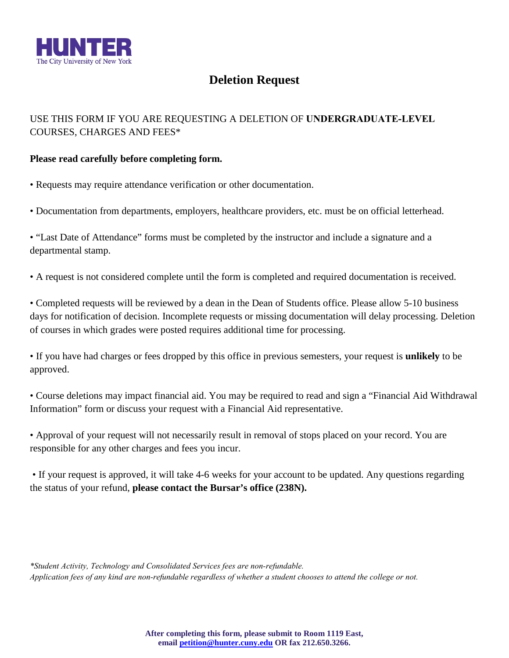

## **Deletion Request**

## USE THIS FORM IF YOU ARE REQUESTING A DELETION OF **UNDERGRADUATE-LEVEL** COURSES, CHARGES AND FEES\*

## **Please read carefully before completing form.**

- Requests may require attendance verification or other documentation.
- Documentation from departments, employers, healthcare providers, etc. must be on official letterhead.
- "Last Date of Attendance" forms must be completed by the instructor and include a signature and a departmental stamp.
- A request is not considered complete until the form is completed and required documentation is received.

• Completed requests will be reviewed by a dean in the Dean of Students office. Please allow 5-10 business days for notification of decision. Incomplete requests or missing documentation will delay processing. Deletion of courses in which grades were posted requires additional time for processing.

 • If you have had charges or fees dropped by this office in previous semesters, your request is **unlikely** to be approved.

• Course deletions may impact financial aid. You may be required to read and sign a "Financial Aid Withdrawal Information" form or discuss your request with a Financial Aid representative.

 • Approval of your request will not necessarily result in removal of stops placed on your record. You are responsible for any other charges and fees you incur.

 • If your request is approved, it will take 4-6 weeks for your account to be updated. Any questions regarding the status of your refund, **please contact the Bursar's office (238N).**